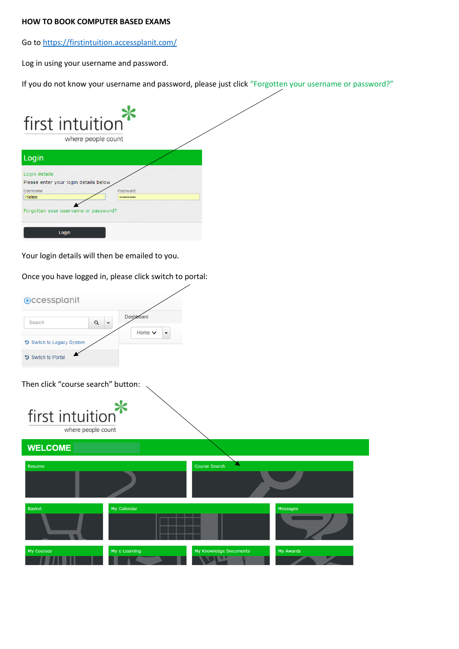## **HOW TO BOOK COMPUTER BASED EXAMS**

Go t[o https://firstintuition.accessplanit.com/](https://firstintuition.accessplanit.com/)

Log in using your username and password.

If you do not know your username and password, please just click "Forgotten your username or password?"

| first intuition                                        | where people count |  |
|--------------------------------------------------------|--------------------|--|
| Login                                                  |                    |  |
| Login details<br>Please enter your login details below |                    |  |
| Username<br>Helen                                      | Password<br>       |  |
| Forgotten your username or password?                   |                    |  |
| Login                                                  |                    |  |

Your login details will then be emailed to you.

Once you have logged in, please click switch to portal:

| <b>Occessplanit</b>       |             |  |
|---------------------------|-------------|--|
| Search                    | Dashboard   |  |
|                           | Home $\vee$ |  |
| 5 Switch to Legacy System |             |  |
| <b>5</b> Switch to Portal |             |  |

Then click "course search" button:



**WELCOME Course Search** Resume Basket My Calendar Messages My Course My e-Learning My Knowledge Documents My Awards **KALIMA**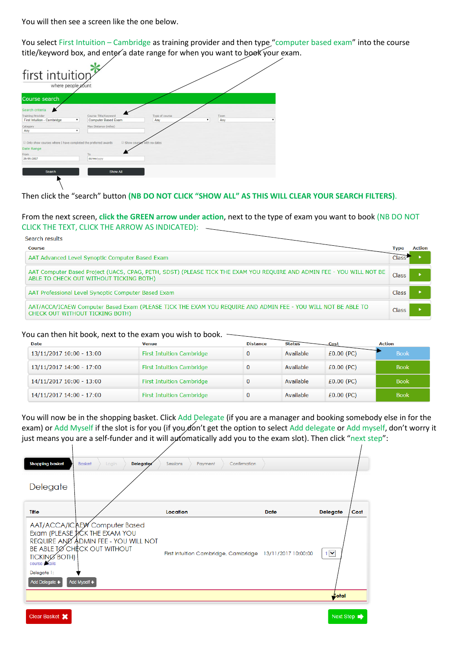You will then see a screen like the one below.

You select First Intuition – Cambridge as training provider and then type "computer based exam" into the course title/keyword box, and enter a date range for when you want to book your exam.

| first intuition<br>where people count                                         |                                             |                            |             |  |
|-------------------------------------------------------------------------------|---------------------------------------------|----------------------------|-------------|--|
| Course search                                                                 |                                             |                            |             |  |
| Search criteria                                                               |                                             |                            |             |  |
| <b>Training Provider</b><br>First Intuition - Cambridge<br>$\pmb{\mathrm{v}}$ | Course Title/Keyword<br>Computer Based Exam | Type of course<br>Any      | Town<br>Any |  |
| Category<br>Any<br>۷.                                                         | Max Distance (miles)                        |                            |             |  |
| Only show courses where I have completed the preferred awards                 |                                             | Show courses with no dates |             |  |
| Date Range                                                                    |                                             |                            |             |  |
| From<br>20/09/2017                                                            | To<br>dd/mm/yyyy                            |                            |             |  |
|                                                                               |                                             |                            |             |  |
| Search                                                                        | Show All                                    |                            |             |  |
|                                                                               |                                             |                            |             |  |

## Then click the "search" button **(NB DO NOT CLICK "SHOW ALL" AS THIS WILL CLEAR YOUR SEARCH FILTERS)**.

From the next screen, **click the GREEN arrow under action**, next to the type of exam you want to book (NB DO NOT CLICK THE TEXT, CLICK THE ARROW AS INDICATED):

| Search results                                                                                                                                                   |       |        |
|------------------------------------------------------------------------------------------------------------------------------------------------------------------|-------|--------|
| Course                                                                                                                                                           | Type  | Action |
| AAT Advanced Level Synoptic Computer Based Exam                                                                                                                  | Class |        |
| AAT Computer Based Project (UACS, CPAG, PETH, SDST) (PLEASE TICK THE EXAM YOU REQUIRE AND ADMIN FEE - YOU WILL NOT BE<br>ABLE TO CHECK OUT WITHOUT TICKING BOTH) | Class |        |
| AAT Professional Level Synoptic Computer Based Exam                                                                                                              | Class |        |
| AAT/ACCA/ICAEW Computer Based Exam (PLEASE TICK THE EXAM YOU REOUIRE AND ADMIN FEE - YOU WILL NOT BE ABLE TO<br>CHECK OUT WITHOUT TICKING BOTH)                  | Class |        |

## You can then hit book, next to the exam you wish to book.

 $\mathbf{1}$ 

| <b>Date</b>              | Venue                            | <b>Distance</b> | <b>Status</b> | Cost         | <b>Action</b> |
|--------------------------|----------------------------------|-----------------|---------------|--------------|---------------|
| 13/11/2017 10:00 - 13:00 | <b>First Intuition Cambridge</b> |                 | Available     | $£0.00$ (PC) | <b>Book</b>   |
| 13/11/2017 14:00 - 17:00 | First Intuition Cambridge        |                 | Available     | $£0.00$ (PC) | <b>Book</b>   |
| 14/11/2017 10:00 - 13:00 | <b>First Intuition Cambridge</b> |                 | Available     | $£0.00$ (PC) | <b>Book</b>   |
| 14/11/2017 14:00 - 17:00 | <b>First Intuition Cambridge</b> |                 | Available     | $£0.00$ (PC) | <b>Book</b>   |

You will now be in the shopping basket. Click Add Delegate (if you are a manager and booking somebody else in for the exam) or Add Myself if the slot is for you (if you don't get the option to select Add delegate or Add myself, don't worry it just means you are a self-funder and it will automatically add you to the exam slot). Then click "next step":

| <b>Shopping basket</b><br>Delegate                                               | Delegates<br><b>Basket</b><br>Login                                                                                                                     | Sessions<br>Confirmation<br>Payment                                  |      |                                         |
|----------------------------------------------------------------------------------|---------------------------------------------------------------------------------------------------------------------------------------------------------|----------------------------------------------------------------------|------|-----------------------------------------|
| <b>Title</b><br>TICKING BOTH)<br>course details<br>Delegate 1:<br>Add Delegate + | AAT/ACCA/ICAEW Computer Based<br>Exam (PLEASE JICK THE EXAM YOU<br>REQUIRE AND ADMIN FEE - YOU WILL NOT<br>BE ABLE TO CHECK OUT WITHOUT<br>Add Myself + | Location<br>First Intuition Cambridge, Cambridge 13/11/2017 10:00:00 | Date | Cost<br><b>Delegate</b><br>$1$ $\vee$   |
| Clear Basket X                                                                   |                                                                                                                                                         |                                                                      |      | <b>Jotal</b><br>Next Step $\Rightarrow$ |